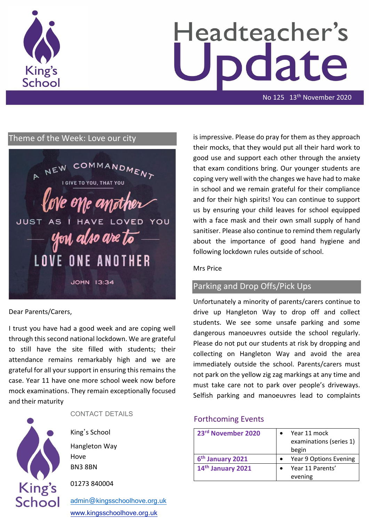

# Headteacher's date

No 125 13<sup>th</sup> November 2020

# Theme of the Week: Love our city



Dear Parents/Carers,

I trust you have had a good week and are coping well through this second national lockdown. We are grateful to still have the site filled with students; their attendance remains remarkably high and we are grateful for all your support in ensuring this remains the case. Year 11 have one more school week now before mock examinations. They remain exceptionally focused and their maturity



#### CONTACT DETAILS

King's School Hangleton Way Hove BN3 8BN

01273 840004

[admin@kingsschoolhove.org.uk](mailto:admin@kingsschoolhove.org.uk) [www.kingsschoolhove.org.uk](http://www.kingsschoolhove.org.uk/)

is impressive. Please do pray for them as they approach their mocks, that they would put all their hard work to good use and support each other through the anxiety that exam conditions bring. Our younger students are coping very well with the changes we have had to make in school and we remain grateful for their compliance and for their high spirits! You can continue to support us by ensuring your child leaves for school equipped with a face mask and their own small supply of hand sanitiser. Please also continue to remind them regularly about the importance of good hand hygiene and following lockdown rules outside of school.

### Mrs Price

# Parking and Drop Offs/Pick Ups

Unfortunately a minority of parents/carers continue to drive up Hangleton Way to drop off and collect students. We see some unsafe parking and some dangerous manoeuvres outside the school regularly. Please do not put our students at risk by dropping and collecting on Hangleton Way and avoid the area immediately outside the school. Parents/carers must not park on the yellow zig zag markings at any time and must take care not to park over people's driveways. Selfish parking and manoeuvres lead to complaints

# Forthcoming Events

| 23rd November 2020           | Year 11 mock<br>examinations (series 1)<br>begin |
|------------------------------|--------------------------------------------------|
| 6 <sup>th</sup> January 2021 | Year 9 Options Evening                           |
| 14th January 2021            | Year 11 Parents'                                 |
|                              | evening                                          |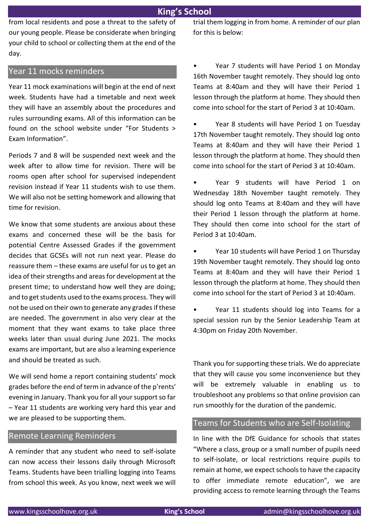from local residents and pose a threat to the safety of our young people. Please be considerate when bringing your child to school or collecting them at the end of the day.

# Year 11 mocks reminders

Year 11 mock examinations will begin at the end of next week. Students have had a timetable and next week they will have an assembly about the procedures and rules surrounding exams. All of this information can be found on the school website under "For Students > Exam Information".

Periods 7 and 8 will be suspended next week and the week after to allow time for revision. There will be rooms open after school for supervised independent revision instead if Year 11 students wish to use them. We will also not be setting homework and allowing that time for revision.

We know that some students are anxious about these exams and concerned these will be the basis for potential Centre Assessed Grades if the government decides that GCSEs will not run next year. Please do reassure them – these exams are useful for us to get an idea of their strengths and areas for development at the present time; to understand how well they are doing; and to get students used to the exams process. They will not be used on their own to generate any grades if these are needed. The government in also very clear at the moment that they want exams to take place three weeks later than usual during June 2021. The mocks exams are important, but are also a learning experience and should be treated as such.

We will send home a report containing students' mock grades before the end of term in advance of the p'rents' evening in January. Thank you for all your support so far – Year 11 students are working very hard this year and we are pleased to be supporting them.

#### Remote Learning Reminders

A reminder that any student who need to self-isolate can now access their lessons daily through Microsoft Teams. Students have been trialling logging into Teams from school this week. As you know, next week we will trial them logging in from home. A reminder of our plan for this is below:

• Year 7 students will have Period 1 on Monday 16th November taught remotely. They should log onto Teams at 8:40am and they will have their Period 1 lesson through the platform at home. They should then come into school for the start of Period 3 at 10:40am.

• Year 8 students will have Period 1 on Tuesday 17th November taught remotely. They should log onto Teams at 8:40am and they will have their Period 1 lesson through the platform at home. They should then come into school for the start of Period 3 at 10:40am.

• Year 9 students will have Period 1 on Wednesday 18th November taught remotely. They should log onto Teams at 8:40am and they will have their Period 1 lesson through the platform at home. They should then come into school for the start of Period 3 at 10:40am.

• Year 10 students will have Period 1 on Thursday 19th November taught remotely. They should log onto Teams at 8:40am and they will have their Period 1 lesson through the platform at home. They should then come into school for the start of Period 3 at 10:40am.

• Year 11 students should log into Teams for a special session run by the Senior Leadership Team at 4:30pm on Friday 20th November.

Thank you for supporting these trials. We do appreciate that they will cause you some inconvenience but they will be extremely valuable in enabling us to troubleshoot any problems so that online provision can run smoothly for the duration of the pandemic.

## Teams for Students who are Self-Isolating

In line with the DfE Guidance for schools that states "Where a class, group or a small number of pupils need to self-isolate, or local restrictions require pupils to remain at home, we expect schools to have the capacity to offer immediate remote education", we are providing access to remote learning through the Teams